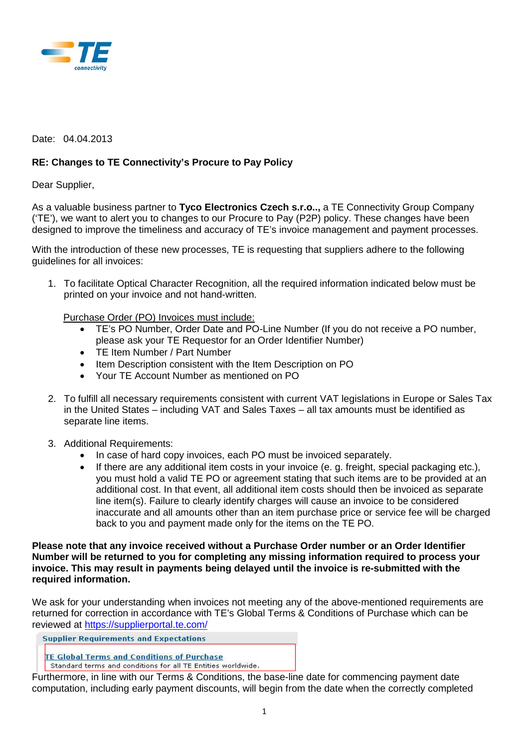

## Date: 04.04.2013

## **RE: Changes to TE Connectivity's Procure to Pay Policy**

## Dear Supplier,

As a valuable business partner to **Tyco Electronics Czech s.r.o..,** a TE Connectivity Group Company ('TE'), we want to alert you to changes to our Procure to Pay (P2P) policy. These changes have been designed to improve the timeliness and accuracy of TE's invoice management and payment processes.

With the introduction of these new processes, TE is requesting that suppliers adhere to the following guidelines for all invoices:

1. To facilitate Optical Character Recognition, all the required information indicated below must be printed on your invoice and not hand-written.

Purchase Order (PO) Invoices must include:

- TE's PO Number, Order Date and PO-Line Number (If you do not receive a PO number, please ask your TE Requestor for an Order Identifier Number)
- TE Item Number / Part Number
- Item Description consistent with the Item Description on PO
- Your TE Account Number as mentioned on PO
- 2. To fulfill all necessary requirements consistent with current VAT legislations in Europe or Sales Tax in the United States – including VAT and Sales Taxes – all tax amounts must be identified as separate line items.
- 3. Additional Requirements:
	- In case of hard copy invoices, each PO must be invoiced separately.
	- If there are any additional item costs in your invoice (e. g. freight, special packaging etc.), you must hold a valid TE PO or agreement stating that such items are to be provided at an additional cost. In that event, all additional item costs should then be invoiced as separate line item(s). Failure to clearly identify charges will cause an invoice to be considered inaccurate and all amounts other than an item purchase price or service fee will be charged back to you and payment made only for the items on the TE PO.

## **Please note that any invoice received without a Purchase Order number or an Order Identifier Number will be returned to you for completing any missing information required to process your invoice. This may result in payments being delayed until the invoice is re-submitted with the required information.**

We ask for your understanding when invoices not meeting any of the above-mentioned requirements are returned for correction in accordance with TE's Global Terms & Conditions of Purchase which can be reviewed at<https://supplierportal.te.com/>

**Supplier Requirements and Expectations** 

**TE Global Terms and Conditions of Purchase** 

Standard terms and conditions for all TE Entities worldwide.

Furthermore, in line with our Terms & Conditions, the base-line date for commencing payment date computation, including early payment discounts, will begin from the date when the correctly completed